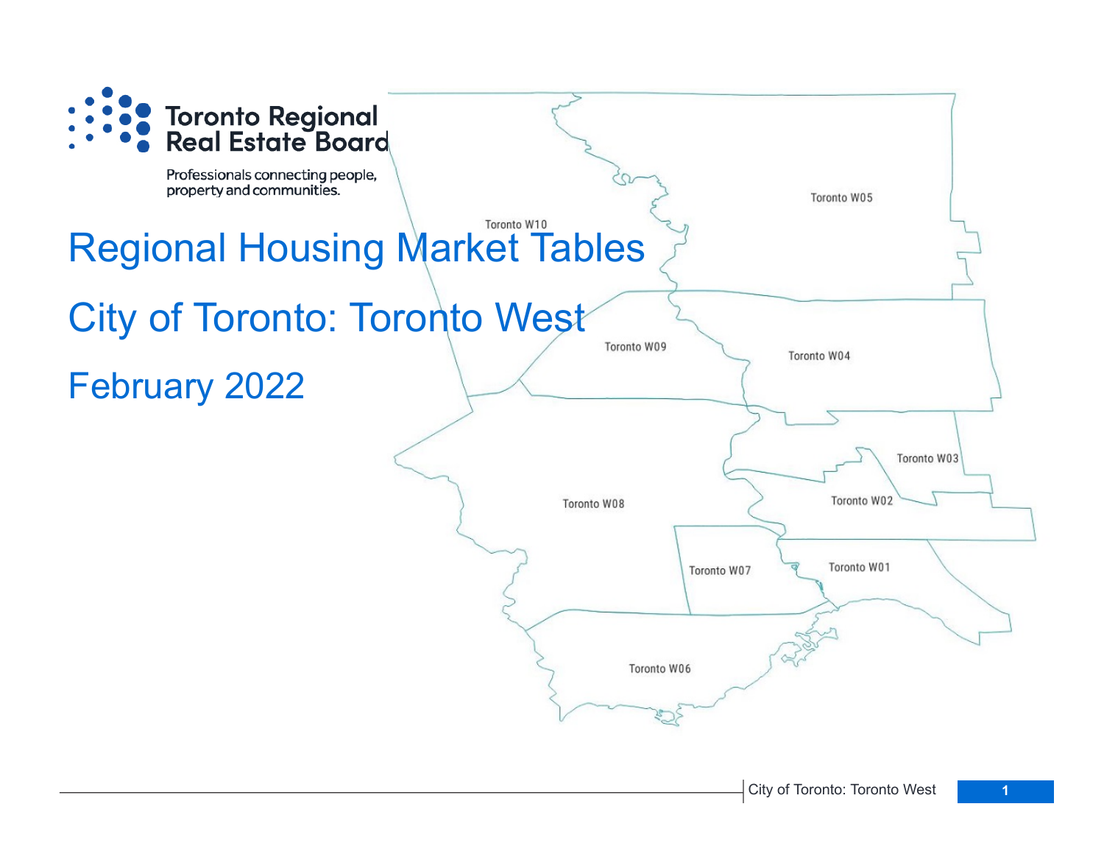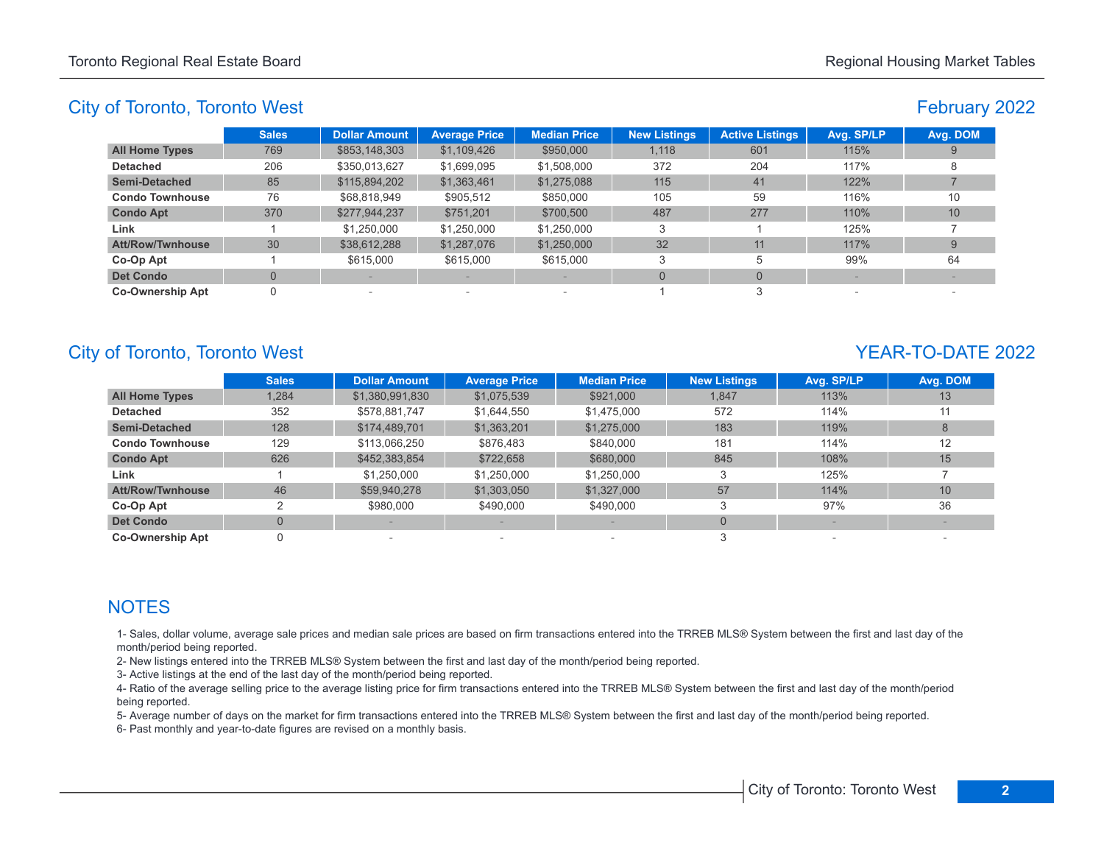# February 2022

|                         | <b>Sales</b> | <b>Dollar Amount</b> | <b>Average Price</b>     | <b>Median Price</b>      | <b>New Listings</b> | <b>Active Listings</b> | Avg. SP/LP | Avg. DOM |
|-------------------------|--------------|----------------------|--------------------------|--------------------------|---------------------|------------------------|------------|----------|
| <b>All Home Types</b>   | 769          | \$853,148,303        | \$1,109,426              | \$950,000                | 1,118               | 601                    | 115%       |          |
| <b>Detached</b>         | 206          | \$350,013,627        | \$1,699,095              | \$1,508,000              | 372                 | 204                    | 117%       |          |
| Semi-Detached           | 85           | \$115,894,202        | \$1,363,461              | \$1,275,088              | 115                 | 41                     | 122%       |          |
| <b>Condo Townhouse</b>  | 76           | \$68,818,949         | \$905,512                | \$850,000                | 105                 | 59                     | 116%       | 10       |
| <b>Condo Apt</b>        | 370          | \$277,944,237        | \$751.201                | \$700,500                | 487                 | 277                    | 110%       | 10       |
| Link                    |              | \$1.250,000          | \$1,250,000              | \$1,250,000              | 3                   |                        | 125%       |          |
| <b>Att/Row/Twnhouse</b> | 30           | \$38,612,288         | \$1,287,076              | \$1,250,000              | 32                  | 11                     | 117%       |          |
| Co-Op Apt               |              | \$615,000            | \$615,000                | \$615,000                | 3                   | 5                      | 99%        | 64       |
| <b>Det Condo</b>        |              |                      |                          |                          | $\Omega$            | $\Omega$               |            |          |
| <b>Co-Ownership Apt</b> |              |                      | $\overline{\phantom{a}}$ | $\overline{\phantom{a}}$ |                     |                        |            |          |

# City of Toronto, Toronto West **YEAR-TO-DATE** 2022

|                         | <b>Sales</b>   | <b>Dollar Amount</b> | <b>Average Price</b>     | <b>Median Price</b> | <b>New Listings</b> | Avg. SP/LP | Avg. DOM |
|-------------------------|----------------|----------------------|--------------------------|---------------------|---------------------|------------|----------|
| <b>All Home Types</b>   | 1,284          | \$1,380,991,830      | \$1,075,539              | \$921,000           | 1,847               | 113%       | 13       |
| <b>Detached</b>         | 352            | \$578,881,747        | \$1,644,550              | \$1,475,000         | 572                 | 114%       | 11       |
| <b>Semi-Detached</b>    | 128            | \$174,489,701        | \$1,363,201              | \$1,275,000         | 183                 | 119%       | 8        |
| <b>Condo Townhouse</b>  | 129            | \$113,066,250        | \$876,483                | \$840,000           | 181                 | 114%       | 12       |
| <b>Condo Apt</b>        | 626            | \$452,383,854        | \$722,658                | \$680,000           | 845                 | 108%       | 15       |
| Link                    |                | \$1,250,000          | \$1,250,000              | \$1,250,000         | 3                   | 125%       |          |
| <b>Att/Row/Twnhouse</b> | 46             | \$59,940,278         | \$1,303,050              | \$1,327,000         | 57                  | 114%       | 10       |
| Co-Op Apt               | っ              | \$980,000            | \$490,000                | \$490,000           |                     | 97%        | 36       |
| <b>Det Condo</b>        | $\overline{0}$ |                      |                          |                     |                     |            |          |
| <b>Co-Ownership Apt</b> |                |                      | $\overline{\phantom{a}}$ |                     |                     |            |          |

# **NOTES**

1- Sales, dollar volume, average sale prices and median sale prices are based on firm transactions entered into the TRREB MLS® System between the first and last day of the month/period being reported.

2- New listings entered into the TRREB MLS® System between the first and last day of the month/period being reported.

3- Active listings at the end of the last day of the month/period being reported.

4- Ratio of the average selling price to the average listing price for firm transactions entered into the TRREB MLS® System between the first and last day of the month/period being reported.

5- Average number of days on the market for firm transactions entered into the TRREB MLS® System between the first and last day of the month/period being reported.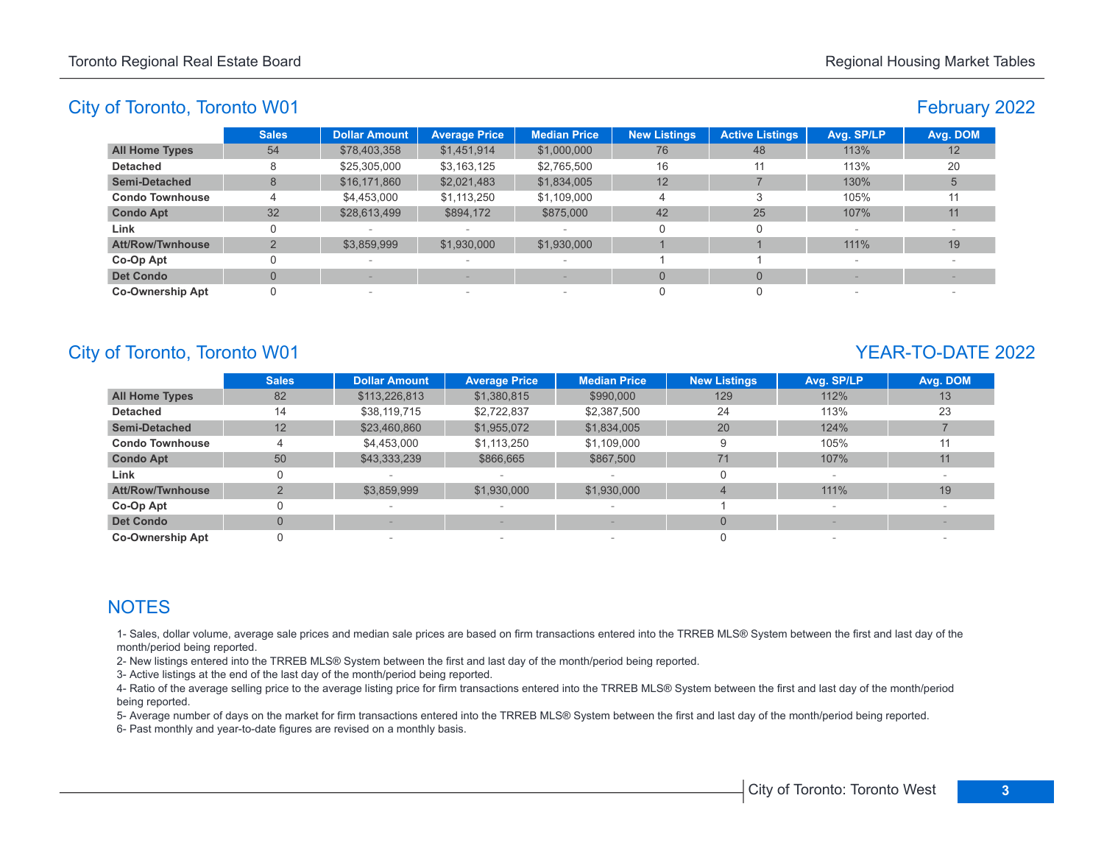# February 2022

|                         | <b>Sales</b> | <b>Dollar Amount</b> | <b>Average Price</b>            | <b>Median Price</b>      | <b>New Listings</b> | <b>Active Listings</b> | Avg. SP/LP               | Avg. DOM |
|-------------------------|--------------|----------------------|---------------------------------|--------------------------|---------------------|------------------------|--------------------------|----------|
| <b>All Home Types</b>   | 54           | \$78,403,358         | \$1,451,914                     | \$1,000,000              | 76                  | 48                     | 113%                     | 12       |
| <b>Detached</b>         | 8            | \$25,305,000         | \$3,163,125                     | \$2,765,500              | 16                  | 11                     | 113%                     | 20       |
| <b>Semi-Detached</b>    | 8            | \$16,171,860         | \$2,021,483                     | \$1,834,005              | 12                  |                        | 130%                     |          |
| <b>Condo Townhouse</b>  |              | \$4,453,000          | \$1,113,250                     | \$1,109,000              | 4                   |                        | 105%                     | 11       |
| <b>Condo Apt</b>        | 32           | \$28,613,499         | \$894,172                       | \$875,000                | 42                  | 25                     | 107%                     | 11       |
| Link                    |              | $\sim$               |                                 | $\overline{\phantom{a}}$ | 0                   |                        | $\overline{\phantom{a}}$ |          |
| <b>Att/Row/Twnhouse</b> |              | \$3,859,999          | \$1,930,000                     | \$1,930,000              |                     |                        | 111%                     | 19       |
| Co-Op Apt               |              |                      | $\hspace{0.1mm}-\hspace{0.1mm}$ | $\overline{\phantom{a}}$ |                     |                        |                          |          |
| <b>Det Condo</b>        |              |                      |                                 |                          |                     | $\Omega$               |                          |          |
| <b>Co-Ownership Apt</b> |              | $\sim$               | $\sim$                          | $\overline{\phantom{a}}$ |                     |                        | $\sim$                   |          |

# City of Toronto, Toronto W01 YEAR-TO-DATE 2022

|                         | <b>Sales</b> | <b>Dollar Amount</b> | <b>Average Price</b>     | <b>Median Price</b> | <b>New Listings</b> | Avg. SP/LP | Avg. DOM |
|-------------------------|--------------|----------------------|--------------------------|---------------------|---------------------|------------|----------|
| <b>All Home Types</b>   | 82           | \$113,226,813        | \$1,380,815              | \$990,000           | 129                 | 112%       | 13       |
| <b>Detached</b>         | 14           | \$38,119,715         | \$2.722.837              | \$2,387,500         | 24                  | 113%       | 23       |
| <b>Semi-Detached</b>    | 12           | \$23,460,860         | \$1,955,072              | \$1,834,005         | 20                  | 124%       |          |
| <b>Condo Townhouse</b>  |              | \$4,453,000          | \$1,113,250              | \$1,109,000         | 9                   | 105%       | 11       |
| <b>Condo Apt</b>        | 50           | \$43,333,239         | \$866,665                | \$867,500           | 71                  | 107%       | 11       |
| Link                    | 0            |                      |                          |                     | 0                   |            |          |
| <b>Att/Row/Twnhouse</b> |              | \$3,859,999          | \$1,930,000              | \$1,930,000         |                     | 111%       | 19       |
| Co-Op Apt               |              |                      |                          |                     |                     |            |          |
| <b>Det Condo</b>        | $\Omega$     |                      |                          |                     | $\Omega$            |            |          |
| <b>Co-Ownership Apt</b> |              |                      | $\overline{\phantom{a}}$ |                     |                     |            |          |

# **NOTES**

1- Sales, dollar volume, average sale prices and median sale prices are based on firm transactions entered into the TRREB MLS® System between the first and last day of the month/period being reported.

2- New listings entered into the TRREB MLS® System between the first and last day of the month/period being reported.

3- Active listings at the end of the last day of the month/period being reported.

4- Ratio of the average selling price to the average listing price for firm transactions entered into the TRREB MLS® System between the first and last day of the month/period being reported.

5- Average number of days on the market for firm transactions entered into the TRREB MLS® System between the first and last day of the month/period being reported.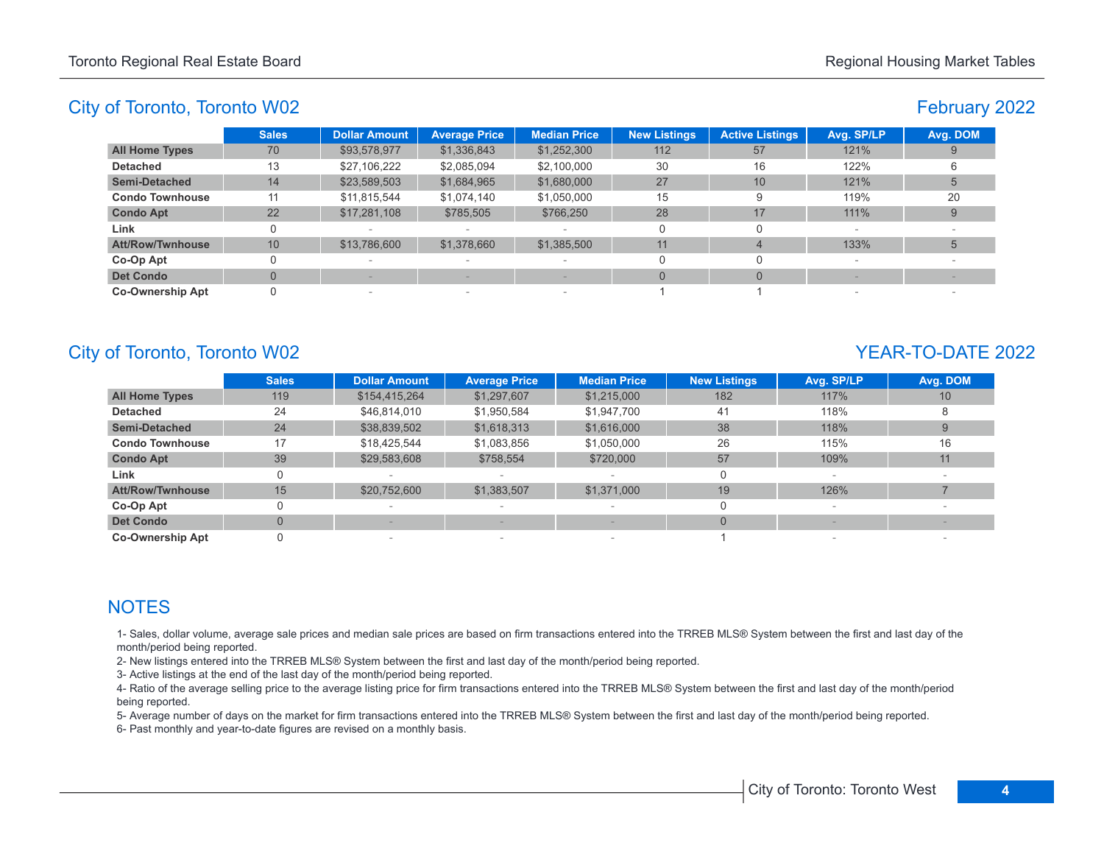# February 2022

|                         | <b>Sales</b> | <b>Dollar Amount</b> | <b>Average Price</b>     | <b>Median Price</b>      | <b>New Listings</b> | <b>Active Listings</b> | Avg. SP/LP | Avg. DOM |
|-------------------------|--------------|----------------------|--------------------------|--------------------------|---------------------|------------------------|------------|----------|
| <b>All Home Types</b>   | 70           | \$93,578,977         | \$1,336,843              | \$1,252,300              | 112                 | 57                     | 121%       |          |
| <b>Detached</b>         | 13           | \$27,106,222         | \$2,085,094              | \$2,100,000              | 30                  | 16                     | 122%       |          |
| <b>Semi-Detached</b>    | 14           | \$23,589,503         | \$1,684,965              | \$1,680,000              | 27                  | 10                     | 121%       |          |
| <b>Condo Townhouse</b>  |              | \$11,815,544         | \$1,074,140              | \$1,050,000              | 15                  |                        | 119%       | 20       |
| <b>Condo Apt</b>        | 22           | \$17,281,108         | \$785,505                | \$766,250                | 28                  | 17                     | 111%       |          |
| Link                    |              |                      |                          | $\overline{\phantom{a}}$ | O                   |                        |            |          |
| <b>Att/Row/Twnhouse</b> | 10           | \$13,786,600         | \$1,378,660              | \$1,385,500              | 11                  |                        | 133%       |          |
| Co-Op Apt               |              |                      | $\overline{\phantom{a}}$ | $\overline{\phantom{a}}$ |                     |                        |            |          |
| <b>Det Condo</b>        |              |                      |                          |                          |                     |                        |            |          |
| <b>Co-Ownership Apt</b> | 0            | $\qquad \qquad$      | $\sim$                   | $\overline{\phantom{a}}$ |                     |                        |            |          |

# City of Toronto, Toronto W02 YEAR-TO-DATE 2022

|                         | <b>Sales</b>   | <b>Dollar Amount</b> | <b>Average Price</b>     | <b>Median Price</b> | <b>New Listings</b> | Avg. SP/LP | Avg. DOM |
|-------------------------|----------------|----------------------|--------------------------|---------------------|---------------------|------------|----------|
| <b>All Home Types</b>   | 119            | \$154,415,264        | \$1,297,607              | \$1,215,000         | 182                 | 117%       | 10       |
| <b>Detached</b>         | 24             | \$46,814,010         | \$1,950,584              | \$1,947,700         | 41                  | 118%       |          |
| <b>Semi-Detached</b>    | 24             | \$38,839,502         | \$1,618,313              | \$1,616,000         | 38                  | 118%       |          |
| <b>Condo Townhouse</b>  | 17             | \$18,425,544         | \$1,083,856              | \$1,050,000         | 26                  | 115%       | 16       |
| <b>Condo Apt</b>        | 39             | \$29,583,608         | \$758,554                | \$720,000           | 57                  | 109%       | 11       |
| Link                    | 0              |                      |                          |                     |                     |            |          |
| <b>Att/Row/Twnhouse</b> | 15             | \$20,752,600         | \$1,383,507              | \$1,371,000         | 19                  | 126%       |          |
| Co-Op Apt               | 0              |                      |                          |                     |                     |            |          |
| <b>Det Condo</b>        | $\overline{0}$ |                      |                          |                     | $\Omega$            |            |          |
| <b>Co-Ownership Apt</b> |                |                      | $\overline{\phantom{a}}$ |                     |                     |            |          |

# **NOTES**

1- Sales, dollar volume, average sale prices and median sale prices are based on firm transactions entered into the TRREB MLS® System between the first and last day of the month/period being reported.

2- New listings entered into the TRREB MLS® System between the first and last day of the month/period being reported.

3- Active listings at the end of the last day of the month/period being reported.

4- Ratio of the average selling price to the average listing price for firm transactions entered into the TRREB MLS® System between the first and last day of the month/period being reported.

5- Average number of days on the market for firm transactions entered into the TRREB MLS® System between the first and last day of the month/period being reported.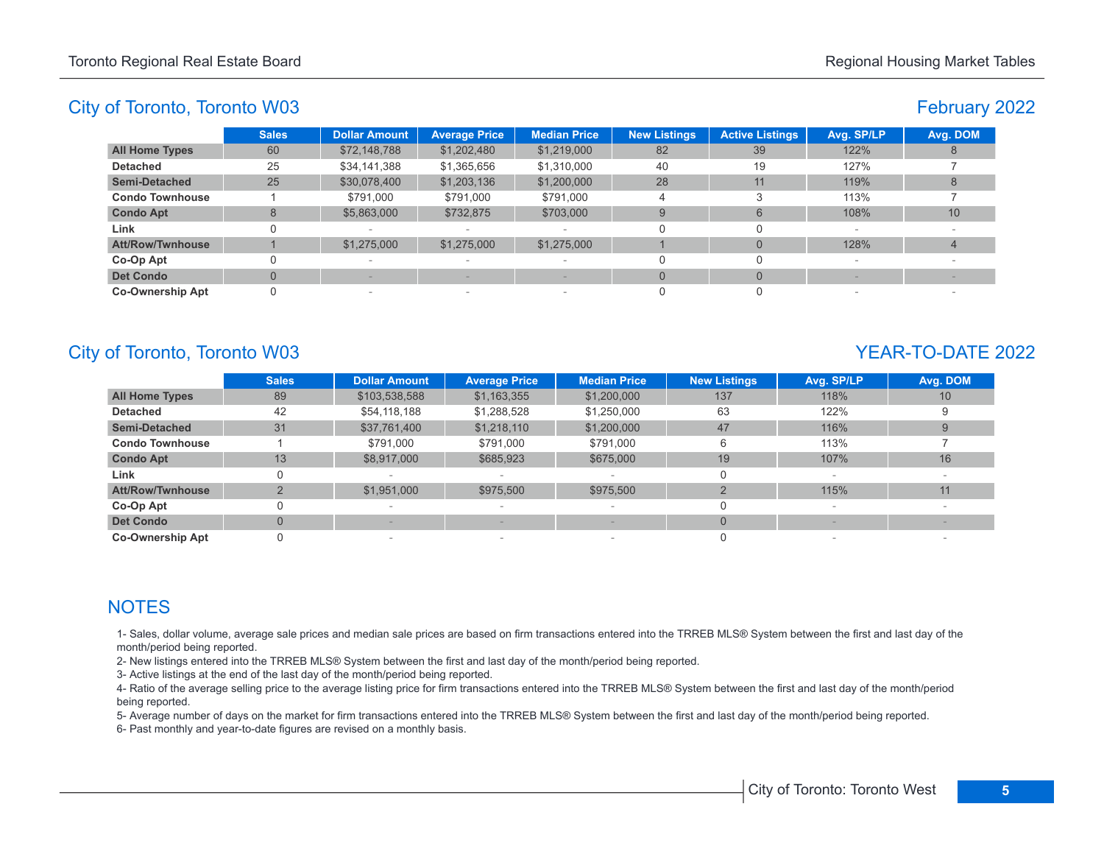# February 2022

|                         | <b>Sales</b> | <b>Dollar Amount</b>     | <b>Average Price</b>            | <b>Median Price</b>      | <b>New Listings</b> | <b>Active Listings</b> | Avg. SP/LP               | Avg. DOM |
|-------------------------|--------------|--------------------------|---------------------------------|--------------------------|---------------------|------------------------|--------------------------|----------|
| <b>All Home Types</b>   | 60           | \$72,148,788             | \$1,202,480                     | \$1,219,000              | 82                  | 39                     | 122%                     |          |
| <b>Detached</b>         | 25           | \$34,141,388             | \$1,365,656                     | \$1,310,000              | 40                  | 19                     | 127%                     |          |
| <b>Semi-Detached</b>    | 25           | \$30,078,400             | \$1,203,136                     | \$1,200,000              | 28                  | 11                     | 119%                     |          |
| <b>Condo Townhouse</b>  |              | \$791.000                | \$791,000                       | \$791.000                |                     |                        | 113%                     |          |
| <b>Condo Apt</b>        | 8            | \$5,863,000              | \$732,875                       | \$703,000                | 9                   | 6                      | 108%                     | 10       |
| Link                    |              |                          |                                 | $\overline{\phantom{a}}$ |                     |                        | $\overline{\phantom{a}}$ |          |
| Att/Row/Twnhouse        |              | \$1,275,000              | \$1,275,000                     | \$1,275,000              |                     | $\Omega$               | 128%                     |          |
| Co-Op Apt               |              |                          | $\hspace{0.1mm}-\hspace{0.1mm}$ | $\overline{\phantom{a}}$ |                     |                        |                          |          |
| <b>Det Condo</b>        |              |                          |                                 |                          |                     | $\Omega$               |                          |          |
| <b>Co-Ownership Apt</b> |              | $\overline{\phantom{a}}$ | $\hspace{0.1mm}-\hspace{0.1mm}$ | $\overline{\phantom{a}}$ |                     |                        | $\sim$                   |          |

# City of Toronto, Toronto W03 YEAR-TO-DATE 2022

|                         | <b>Sales</b> | <b>Dollar Amount</b> | <b>Average Price</b> | <b>Median Price</b>      | <b>New Listings</b> | Avg. SP/LP               | Avg. DOM |
|-------------------------|--------------|----------------------|----------------------|--------------------------|---------------------|--------------------------|----------|
| <b>All Home Types</b>   | 89           | \$103,538,588        | \$1,163,355          | \$1,200,000              | 137                 | 118%                     | 10       |
| <b>Detached</b>         | 42           | \$54,118,188         | \$1,288,528          | \$1,250,000              | 63                  | 122%                     |          |
| <b>Semi-Detached</b>    | 31           | \$37,761,400         | \$1,218,110          | \$1,200,000              | 47                  | 116%                     |          |
| <b>Condo Townhouse</b>  |              | \$791,000            | \$791,000            | \$791,000                | 6                   | 113%                     |          |
| <b>Condo Apt</b>        | 13           | \$8,917,000          | \$685,923            | \$675,000                | 19                  | 107%                     | 16       |
| Link                    | 0            |                      |                      |                          |                     |                          |          |
| <b>Att/Row/Twnhouse</b> |              | \$1,951,000          | \$975,500            | \$975,500                |                     | 115%                     | 11       |
| Co-Op Apt               | 0            |                      | $\sim$               | $\overline{\phantom{a}}$ |                     | $\overline{\phantom{a}}$ |          |
| <b>Det Condo</b>        | $\mathbf{0}$ |                      |                      |                          | $\Omega$            |                          |          |
| <b>Co-Ownership Apt</b> |              |                      | $\sim$               |                          |                     |                          |          |

# **NOTES**

1- Sales, dollar volume, average sale prices and median sale prices are based on firm transactions entered into the TRREB MLS® System between the first and last day of the month/period being reported.

2- New listings entered into the TRREB MLS® System between the first and last day of the month/period being reported.

3- Active listings at the end of the last day of the month/period being reported.

4- Ratio of the average selling price to the average listing price for firm transactions entered into the TRREB MLS® System between the first and last day of the month/period being reported.

5- Average number of days on the market for firm transactions entered into the TRREB MLS® System between the first and last day of the month/period being reported.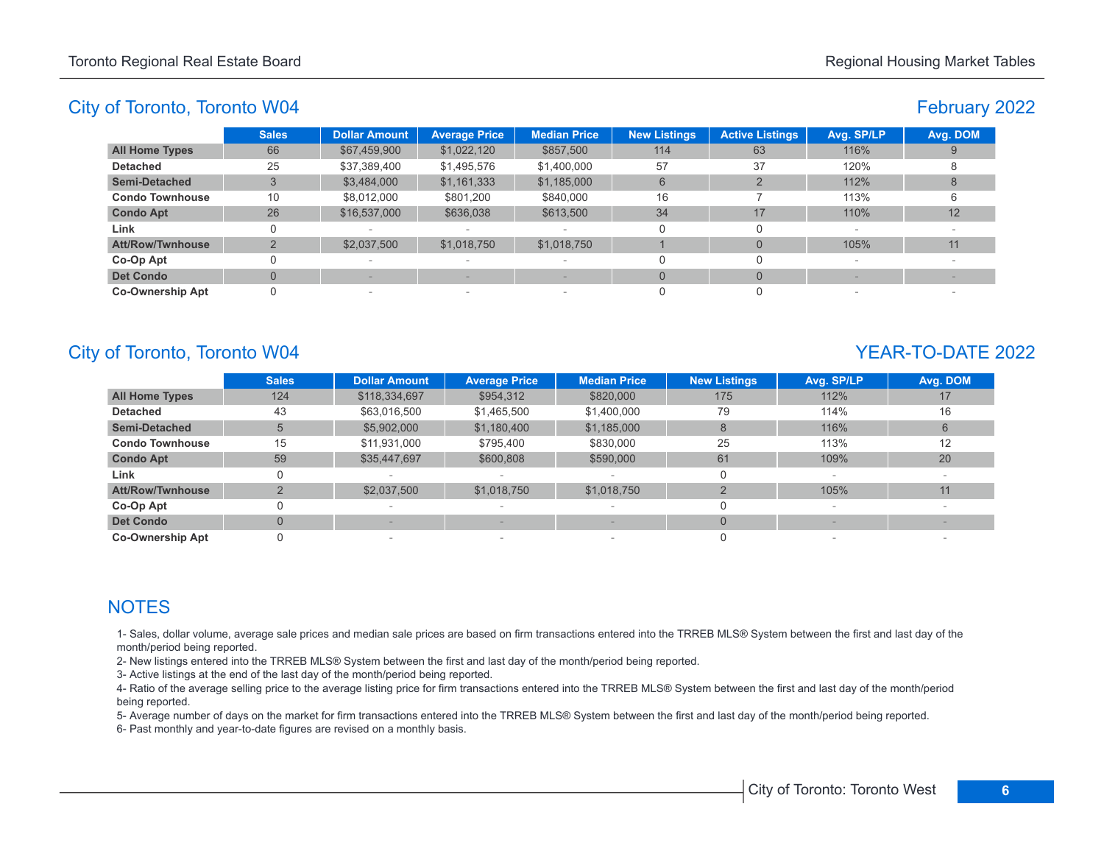# February 2022

|                         | <b>Sales</b> | <b>Dollar Amount</b>     | <b>Average Price</b>     | <b>Median Price</b> | <b>New Listings</b> | <b>Active Listings</b> | Avg. SP/LP | Avg. DOM |
|-------------------------|--------------|--------------------------|--------------------------|---------------------|---------------------|------------------------|------------|----------|
| <b>All Home Types</b>   | 66           | \$67,459,900             | \$1,022,120              | \$857,500           | 114                 | 63                     | 116%       |          |
| <b>Detached</b>         | 25           | \$37,389,400             | \$1,495,576              | \$1,400,000         | 57                  | 37                     | 120%       |          |
| <b>Semi-Detached</b>    | 3            | \$3,484,000              | \$1,161,333              | \$1,185,000         | 6                   |                        | 112%       |          |
| <b>Condo Townhouse</b>  | 10           | \$8,012,000              | \$801,200                | \$840,000           | 16                  |                        | 113%       |          |
| <b>Condo Apt</b>        | 26           | \$16,537,000             | \$636,038                | \$613,500           | 34                  | 17                     | 110%       | 12       |
| Link                    | 0            |                          | $\sim$                   |                     |                     |                        |            |          |
| <b>Att/Row/Twnhouse</b> | $\Omega$     | \$2,037,500              | \$1,018,750              | \$1,018,750         |                     |                        | 105%       | 11       |
| Co-Op Apt               |              | $\overline{\phantom{0}}$ | $\overline{\phantom{a}}$ | $\sim$              |                     |                        |            |          |
| <b>Det Condo</b>        |              |                          |                          |                     | $\Omega$            |                        |            |          |
| <b>Co-Ownership Apt</b> | 0            | $\overline{\phantom{0}}$ | $\overline{\phantom{a}}$ | $\sim$              |                     |                        |            |          |

# City of Toronto, Toronto W04 YEAR-TO-DATE 2022

|                         | <b>Sales</b> | <b>Dollar Amount</b> | <b>Average Price</b>     | <b>Median Price</b> | <b>New Listings</b> | Avg. SP/LP | Avg. DOM |
|-------------------------|--------------|----------------------|--------------------------|---------------------|---------------------|------------|----------|
| <b>All Home Types</b>   | 124          | \$118,334,697        | \$954,312                | \$820,000           | 175                 | 112%       | 17       |
| <b>Detached</b>         | 43           | \$63,016,500         | \$1,465,500              | \$1,400,000         | 79                  | 114%       | 16       |
| <b>Semi-Detached</b>    | 5            | \$5,902,000          | \$1,180,400              | \$1,185,000         | 8                   | 116%       | 6        |
| <b>Condo Townhouse</b>  | 15           | \$11,931,000         | \$795.400                | \$830,000           | 25                  | 113%       | 12       |
| <b>Condo Apt</b>        | 59           | \$35,447,697         | \$600,808                | \$590,000           | 61                  | 109%       | 20       |
| Link                    | 0            |                      |                          |                     | 0                   |            |          |
| <b>Att/Row/Twnhouse</b> |              | \$2,037,500          | \$1,018,750              | \$1,018,750         |                     | 105%       | 11       |
| Co-Op Apt               |              |                      |                          |                     | 0                   |            |          |
| <b>Det Condo</b>        | $\Omega$     |                      |                          |                     | $\Omega$            |            |          |
| <b>Co-Ownership Apt</b> |              |                      | $\overline{\phantom{a}}$ |                     |                     |            |          |

# **NOTES**

1- Sales, dollar volume, average sale prices and median sale prices are based on firm transactions entered into the TRREB MLS® System between the first and last day of the month/period being reported.

2- New listings entered into the TRREB MLS® System between the first and last day of the month/period being reported.

3- Active listings at the end of the last day of the month/period being reported.

4- Ratio of the average selling price to the average listing price for firm transactions entered into the TRREB MLS® System between the first and last day of the month/period being reported.

5- Average number of days on the market for firm transactions entered into the TRREB MLS® System between the first and last day of the month/period being reported.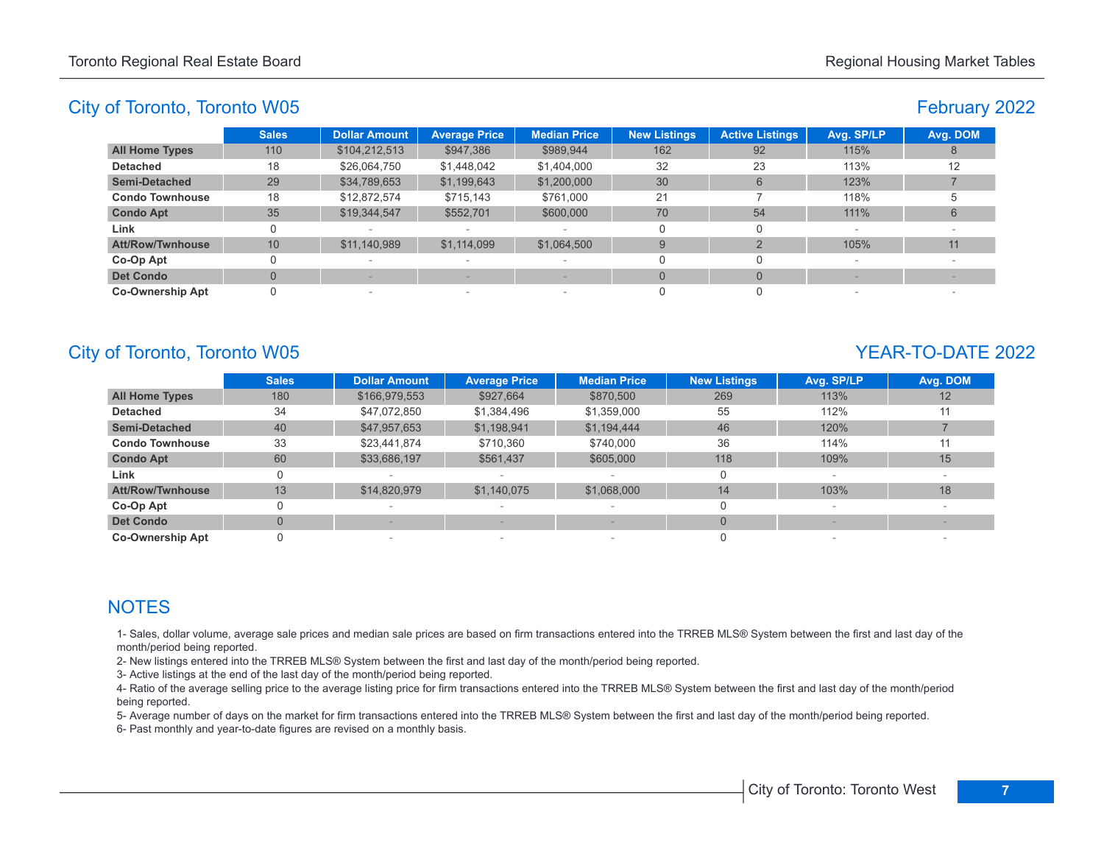# February 2022

|                         | <b>Sales</b> | <b>Dollar Amount</b>     | <b>Average Price</b> | <b>Median Price</b>      | <b>New Listings</b> | <b>Active Listings</b> | Avg. SP/LP               | Avg. DOM |
|-------------------------|--------------|--------------------------|----------------------|--------------------------|---------------------|------------------------|--------------------------|----------|
| <b>All Home Types</b>   | 110          | \$104,212,513            | \$947,386            | \$989,944                | 162                 | 92                     | 115%                     |          |
| <b>Detached</b>         | 18           | \$26,064,750             | \$1,448,042          | \$1,404,000              | 32                  | 23                     | 113%                     | 12       |
| <b>Semi-Detached</b>    | 29           | \$34,789,653             | \$1,199,643          | \$1,200,000              | 30                  | 6                      | 123%                     |          |
| <b>Condo Townhouse</b>  | 18           | \$12,872,574             | \$715,143            | \$761,000                | 21                  |                        | 118%                     |          |
| <b>Condo Apt</b>        | 35           | \$19,344,547             | \$552,701            | \$600,000                | 70                  | 54                     | 111%                     | 6        |
| Link                    |              | $\overline{\phantom{a}}$ |                      |                          |                     | 0                      | $\overline{\phantom{a}}$ |          |
| <b>Att/Row/Twnhouse</b> | 10           | \$11,140,989             | \$1,114,099          | \$1,064,500              | 9                   |                        | 105%                     | 11       |
| Co-Op Apt               |              | $\sim$                   | $\sim$               | $\overline{\phantom{a}}$ |                     |                        |                          |          |
| <b>Det Condo</b>        |              |                          |                      |                          | $\Omega$            | $\Omega$               |                          |          |
| <b>Co-Ownership Apt</b> |              | $\overline{\phantom{a}}$ | $\sim$               | $\overline{\phantom{a}}$ |                     |                        |                          |          |

# City of Toronto, Toronto W05 YEAR-TO-DATE 2022

|                         | <b>Sales</b> | <b>Dollar Amount</b> | <b>Average Price</b>     | <b>Median Price</b> | <b>New Listings</b> | Avg. SP/LP | Avg. DOM |
|-------------------------|--------------|----------------------|--------------------------|---------------------|---------------------|------------|----------|
| <b>All Home Types</b>   | 180          | \$166,979,553        | \$927,664                | \$870,500           | 269                 | 113%       | 12       |
| <b>Detached</b>         | 34           | \$47,072,850         | \$1,384,496              | \$1,359,000         | 55                  | 112%       | 11       |
| <b>Semi-Detached</b>    | 40           | \$47,957,653         | \$1,198,941              | \$1,194,444         | 46                  | 120%       |          |
| <b>Condo Townhouse</b>  | 33           | \$23,441,874         | \$710.360                | \$740,000           | 36                  | 114%       | 11       |
| <b>Condo Apt</b>        | 60           | \$33,686,197         | \$561,437                | \$605,000           | 118                 | 109%       | 15       |
| Link                    | 0            |                      |                          |                     | 0                   |            |          |
| <b>Att/Row/Twnhouse</b> | 13           | \$14,820,979         | \$1,140,075              | \$1,068,000         | 14                  | 103%       | 18       |
| Co-Op Apt               |              |                      |                          |                     | 0                   |            |          |
| <b>Det Condo</b>        | $\Omega$     |                      |                          |                     | $\Omega$            |            |          |
| <b>Co-Ownership Apt</b> |              |                      | $\overline{\phantom{a}}$ |                     |                     |            |          |

# **NOTES**

1- Sales, dollar volume, average sale prices and median sale prices are based on firm transactions entered into the TRREB MLS® System between the first and last day of the month/period being reported.

2- New listings entered into the TRREB MLS® System between the first and last day of the month/period being reported.

3- Active listings at the end of the last day of the month/period being reported.

4- Ratio of the average selling price to the average listing price for firm transactions entered into the TRREB MLS® System between the first and last day of the month/period being reported.

5- Average number of days on the market for firm transactions entered into the TRREB MLS® System between the first and last day of the month/period being reported.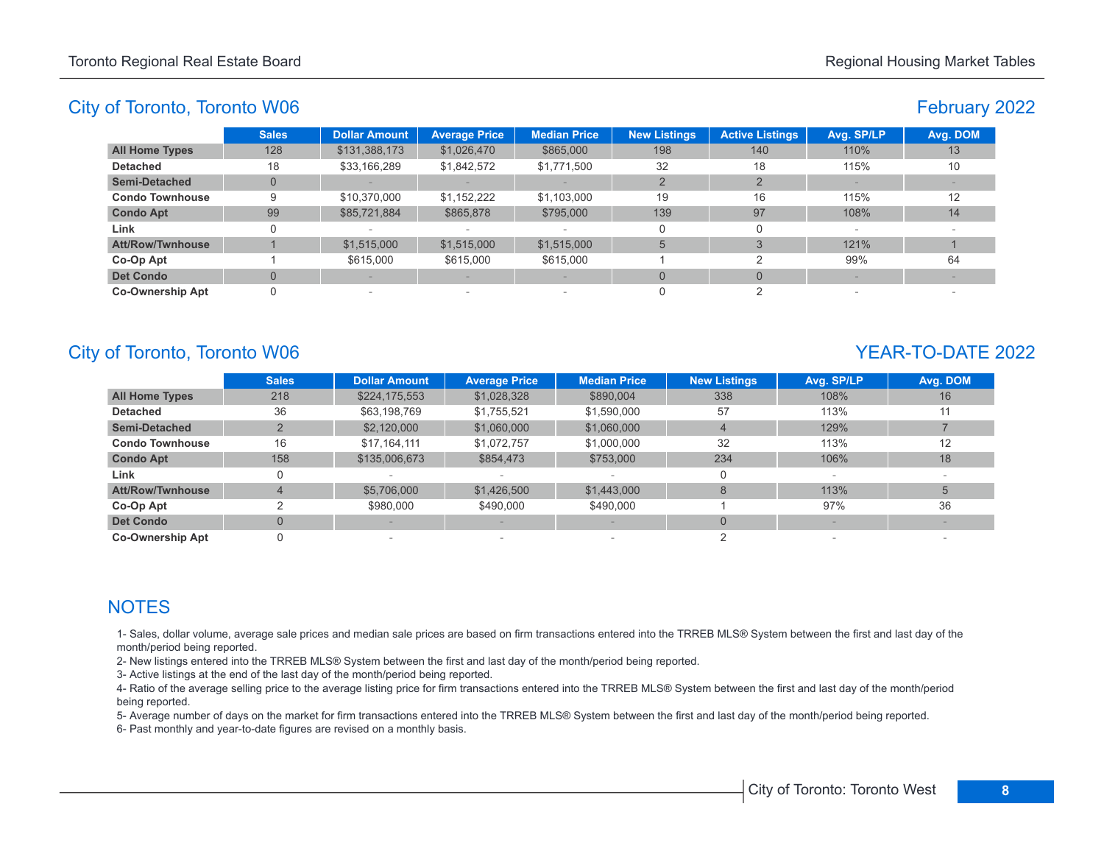# February 2022

|                         | <b>Sales</b> | <b>Dollar Amount</b> | <b>Average Price</b>     | <b>Median Price</b>      | <b>New Listings</b> | <b>Active Listings</b> | Avg. SP/LP               | Avg. DOM |
|-------------------------|--------------|----------------------|--------------------------|--------------------------|---------------------|------------------------|--------------------------|----------|
| <b>All Home Types</b>   | 128          | \$131,388,173        | \$1,026,470              | \$865,000                | 198                 | 140                    | 110%                     | 13       |
| <b>Detached</b>         | 18           | \$33,166,289         | \$1,842,572              | \$1,771,500              | 32                  | 18                     | 115%                     | 10       |
| <b>Semi-Detached</b>    |              |                      |                          |                          |                     |                        |                          |          |
| <b>Condo Townhouse</b>  | 9            | \$10,370,000         | \$1,152,222              | \$1,103,000              | 19                  | 16                     | 115%                     | 12       |
| <b>Condo Apt</b>        | 99           | \$85,721,884         | \$865,878                | \$795,000                | 139                 | 97                     | 108%                     | 14       |
| Link                    |              |                      |                          |                          |                     | 0                      | $\overline{\phantom{a}}$ |          |
| <b>Att/Row/Twnhouse</b> |              | \$1,515,000          | \$1,515,000              | \$1,515,000              | 5                   |                        | 121%                     |          |
| Co-Op Apt               |              | \$615,000            | \$615,000                | \$615,000                |                     |                        | 99%                      | 64       |
| <b>Det Condo</b>        |              |                      |                          |                          | $\Omega$            | $\Omega$               |                          |          |
| <b>Co-Ownership Apt</b> |              | $\,$                 | $\overline{\phantom{a}}$ | $\overline{\phantom{a}}$ |                     |                        |                          |          |

# City of Toronto, Toronto W06 YEAR-TO-DATE 2022

|                         | <b>Sales</b>   | <b>Dollar Amount</b> | <b>Average Price</b>     | <b>Median Price</b> | <b>New Listings</b> | Avg. SP/LP | Avg. DOM |
|-------------------------|----------------|----------------------|--------------------------|---------------------|---------------------|------------|----------|
| <b>All Home Types</b>   | 218            | \$224,175,553        | \$1,028,328              | \$890,004           | 338                 | 108%       | 16       |
| <b>Detached</b>         | 36             | \$63,198,769         | \$1,755,521              | \$1,590,000         | 57                  | 113%       |          |
| <b>Semi-Detached</b>    |                | \$2,120,000          | \$1,060,000              | \$1,060,000         | $\overline{4}$      | 129%       |          |
| <b>Condo Townhouse</b>  | 16             | \$17,164,111         | \$1,072,757              | \$1,000,000         | 32                  | 113%       | 12       |
| <b>Condo Apt</b>        | 158            | \$135,006,673        | \$854,473                | \$753,000           | 234                 | 106%       | 18       |
| Link                    | 0              |                      |                          |                     |                     |            |          |
| <b>Att/Row/Twnhouse</b> | 4              | \$5,706,000          | \$1,426,500              | \$1,443,000         |                     | 113%       |          |
| Co-Op Apt               |                | \$980,000            | \$490,000                | \$490,000           |                     | 97%        | 36       |
| <b>Det Condo</b>        | $\overline{0}$ |                      |                          |                     | $\Omega$            |            |          |
| <b>Co-Ownership Apt</b> |                |                      | $\overline{\phantom{a}}$ |                     |                     |            |          |

# **NOTES**

1- Sales, dollar volume, average sale prices and median sale prices are based on firm transactions entered into the TRREB MLS® System between the first and last day of the month/period being reported.

2- New listings entered into the TRREB MLS® System between the first and last day of the month/period being reported.

3- Active listings at the end of the last day of the month/period being reported.

4- Ratio of the average selling price to the average listing price for firm transactions entered into the TRREB MLS® System between the first and last day of the month/period being reported.

5- Average number of days on the market for firm transactions entered into the TRREB MLS® System between the first and last day of the month/period being reported.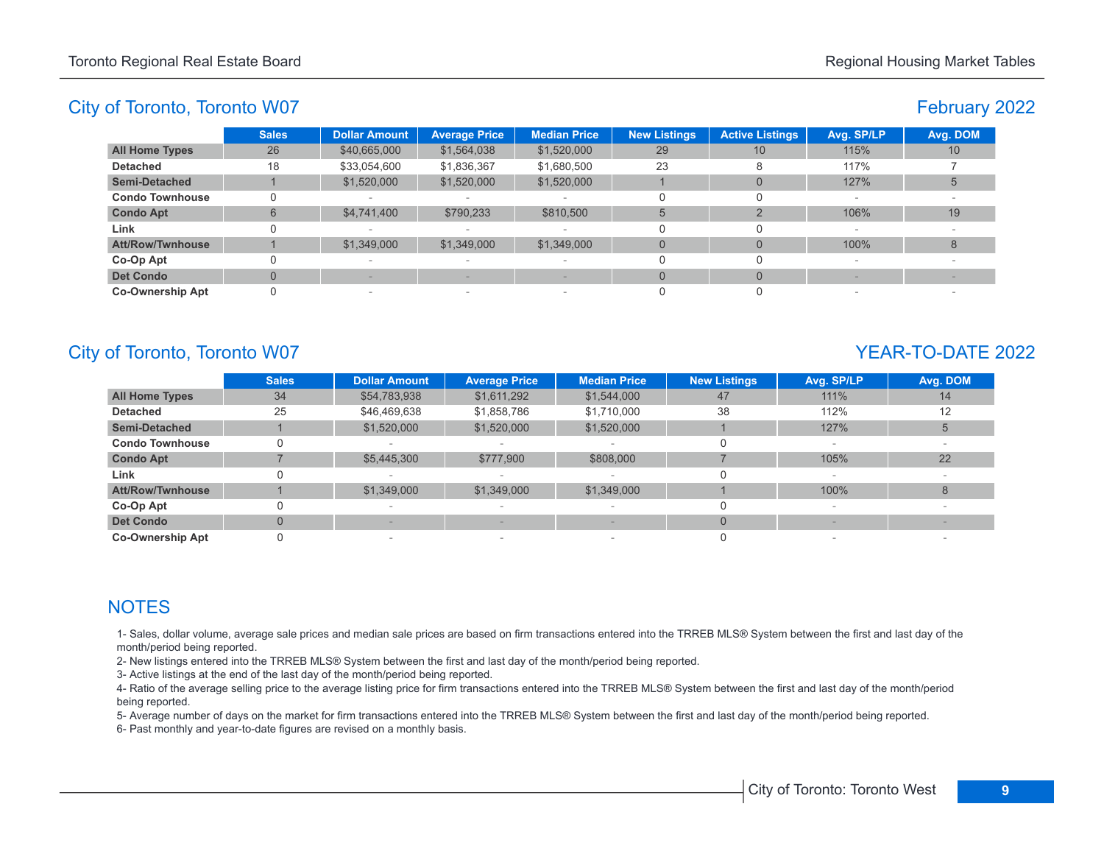# February 2022

|                         | <b>Sales</b> | <b>Dollar Amount</b>     | <b>Average Price</b>            | <b>Median Price</b>      | <b>New Listings</b> | <b>Active Listings</b> | Avg. SP/LP | Avg. DOM        |
|-------------------------|--------------|--------------------------|---------------------------------|--------------------------|---------------------|------------------------|------------|-----------------|
| <b>All Home Types</b>   | 26           | \$40,665,000             | \$1,564,038                     | \$1,520,000              | 29                  | 10                     | 115%       | 10 <sup>°</sup> |
| <b>Detached</b>         | 18           | \$33,054,600             | \$1,836,367                     | \$1,680,500              | 23                  |                        | 117%       |                 |
| <b>Semi-Detached</b>    |              | \$1,520,000              | \$1,520,000                     | \$1,520,000              |                     | $\Omega$               | 127%       |                 |
| <b>Condo Townhouse</b>  |              |                          |                                 | $\overline{\phantom{a}}$ |                     |                        |            |                 |
| <b>Condo Apt</b>        | 6            | \$4,741,400              | \$790,233                       | \$810,500                | 5                   |                        | 106%       | 19              |
| Link                    |              | $\sim$                   |                                 | $\overline{\phantom{a}}$ |                     |                        | $\sim$     |                 |
| Att/Row/Twnhouse        |              | \$1,349,000              | \$1,349,000                     | \$1,349,000              |                     | $\Omega$               | 100%       | 8               |
| Co-Op Apt               |              | $\sim$                   | $\hspace{0.1mm}-\hspace{0.1mm}$ | $\overline{\phantom{a}}$ |                     |                        |            |                 |
| <b>Det Condo</b>        |              |                          |                                 |                          |                     | $\Omega$               |            |                 |
| <b>Co-Ownership Apt</b> |              | $\overline{\phantom{a}}$ | $\hspace{0.1mm}-\hspace{0.1mm}$ | $\overline{\phantom{a}}$ |                     |                        | $\sim$     |                 |

# City of Toronto, Toronto W07 YEAR-TO-DATE 2022

|                         | <b>Sales</b> | <b>Dollar Amount</b> | <b>Average Price</b>     | <b>Median Price</b> | <b>New Listings</b> | Avg. SP/LP | Avg. DOM |
|-------------------------|--------------|----------------------|--------------------------|---------------------|---------------------|------------|----------|
| <b>All Home Types</b>   | 34           | \$54,783,938         | \$1,611,292              | \$1,544,000         | 47                  | 111%       | 14       |
| <b>Detached</b>         | 25           | \$46,469,638         | \$1,858,786              | \$1,710,000         | 38                  | 112%       | 12       |
| <b>Semi-Detached</b>    |              | \$1,520,000          | \$1,520,000              | \$1,520,000         |                     | 127%       | 5        |
| <b>Condo Townhouse</b>  |              |                      |                          |                     |                     |            |          |
| <b>Condo Apt</b>        |              | \$5,445,300          | \$777,900                | \$808,000           |                     | 105%       | 22       |
| Link                    |              |                      |                          |                     |                     |            |          |
| <b>Att/Row/Twnhouse</b> |              | \$1,349,000          | \$1,349,000              | \$1,349,000         |                     | 100%       | 8        |
| Co-Op Apt               |              |                      |                          |                     |                     |            |          |
| <b>Det Condo</b>        | $\Omega$     |                      |                          |                     | $\Omega$            |            |          |
| <b>Co-Ownership Apt</b> |              |                      | $\overline{\phantom{a}}$ |                     |                     | $\sim$     |          |

# **NOTES**

1- Sales, dollar volume, average sale prices and median sale prices are based on firm transactions entered into the TRREB MLS® System between the first and last day of the month/period being reported.

2- New listings entered into the TRREB MLS® System between the first and last day of the month/period being reported.

3- Active listings at the end of the last day of the month/period being reported.

4- Ratio of the average selling price to the average listing price for firm transactions entered into the TRREB MLS® System between the first and last day of the month/period being reported.

5- Average number of days on the market for firm transactions entered into the TRREB MLS® System between the first and last day of the month/period being reported.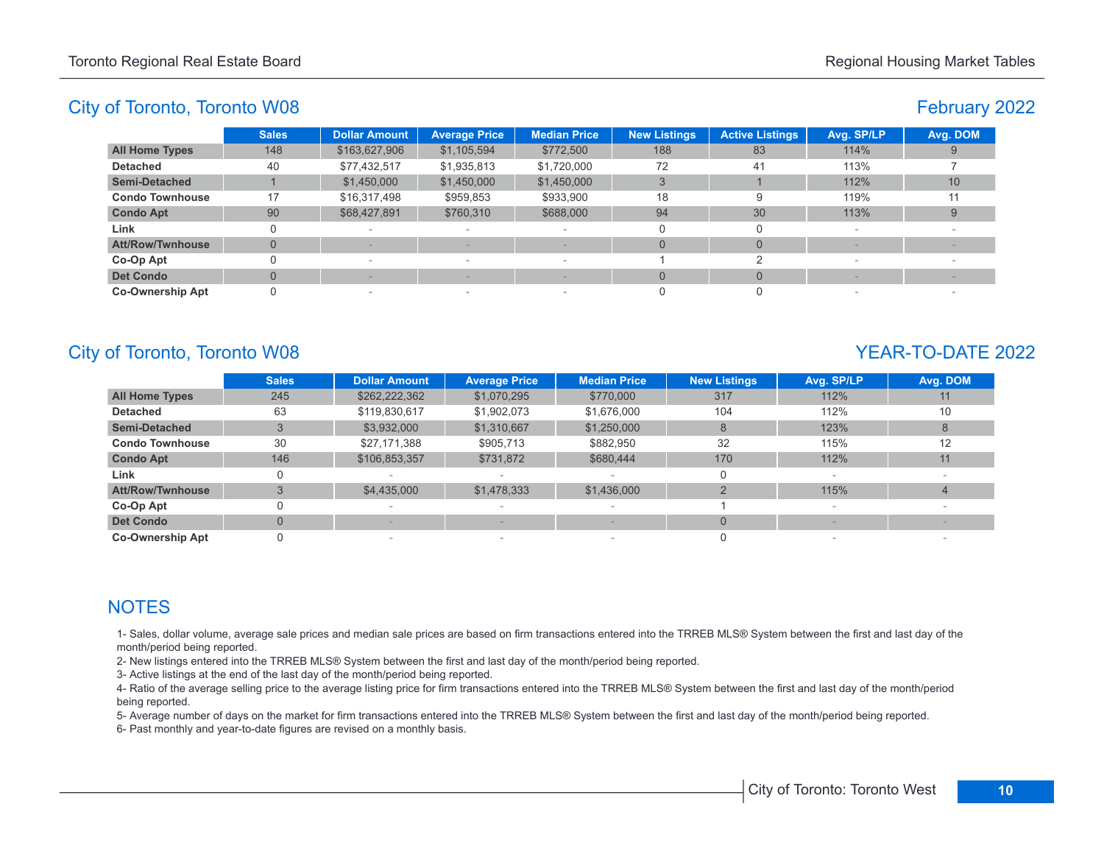# February 2022

|                         | <b>Sales</b> | <b>Dollar Amount</b> | <b>Average Price</b>            | <b>Median Price</b>      | <b>New Listings</b> | <b>Active Listings</b> | Avg. SP/LP               | Avg. DOM |
|-------------------------|--------------|----------------------|---------------------------------|--------------------------|---------------------|------------------------|--------------------------|----------|
| <b>All Home Types</b>   | 148          | \$163,627,906        | \$1,105,594                     | \$772,500                | 188                 | 83                     | 114%                     |          |
| <b>Detached</b>         | 40           | \$77,432,517         | \$1,935,813                     | \$1,720,000              | 72                  | 41                     | 113%                     |          |
| <b>Semi-Detached</b>    |              | \$1,450,000          | \$1,450,000                     | \$1,450,000              |                     |                        | 112%                     | 10       |
| <b>Condo Townhouse</b>  | 17           | \$16,317,498         | \$959,853                       | \$933,900                | 18                  |                        | 119%                     | 11       |
| <b>Condo Apt</b>        | 90           | \$68,427,891         | \$760,310                       | \$688,000                | 94                  | 30                     | 113%                     | 9        |
| Link                    |              | $\sim$               | $\hspace{0.1mm}-\hspace{0.1mm}$ | $\overline{\phantom{a}}$ |                     |                        | $\overline{\phantom{a}}$ |          |
| Att/Row/Twnhouse        | 0            |                      |                                 |                          |                     | $\Omega$               |                          |          |
| Co-Op Apt               |              | $\sim$               | $\hspace{0.1mm}-\hspace{0.1mm}$ | $\overline{\phantom{a}}$ |                     |                        |                          |          |
| <b>Det Condo</b>        |              |                      |                                 |                          |                     | $\Omega$               |                          |          |
| <b>Co-Ownership Apt</b> |              | $\sim$               | $\hspace{0.1mm}-\hspace{0.1mm}$ | $\overline{\phantom{a}}$ |                     |                        |                          |          |

# City of Toronto, Toronto W08 YEAR-TO-DATE 2022

|                         | <b>Sales</b>   | <b>Dollar Amount</b> | <b>Average Price</b> | <b>Median Price</b> | <b>New Listings</b> | Avg. SP/LP | Avg. DOM |
|-------------------------|----------------|----------------------|----------------------|---------------------|---------------------|------------|----------|
| <b>All Home Types</b>   | 245            | \$262,222,362        | \$1,070,295          | \$770,000           | 317                 | 112%       |          |
| <b>Detached</b>         | 63             | \$119,830,617        | \$1,902,073          | \$1,676,000         | 104                 | 112%       | 10       |
| <b>Semi-Detached</b>    |                | \$3,932,000          | \$1,310,667          | \$1,250,000         | 8                   | 123%       |          |
| <b>Condo Townhouse</b>  | 30             | \$27,171,388         | \$905,713            | \$882.950           | 32                  | 115%       | 12       |
| <b>Condo Apt</b>        | 146            | \$106,853,357        | \$731,872            | \$680,444           | 170                 | 112%       | 11       |
| Link                    |                |                      |                      |                     | 0                   |            |          |
| Att/Row/Twnhouse        | 3              | \$4,435,000          | \$1,478,333          | \$1,436,000         |                     | 115%       | 4        |
| Co-Op Apt               | 0              |                      | $\sim$               | $\qquad \qquad$     |                     |            |          |
| <b>Det Condo</b>        | $\overline{0}$ |                      |                      |                     | $\overline{0}$      |            |          |
| <b>Co-Ownership Apt</b> |                |                      | $\sim$               |                     |                     |            |          |

# **NOTES**

1- Sales, dollar volume, average sale prices and median sale prices are based on firm transactions entered into the TRREB MLS® System between the first and last day of the month/period being reported.

2- New listings entered into the TRREB MLS® System between the first and last day of the month/period being reported.

3- Active listings at the end of the last day of the month/period being reported.

4- Ratio of the average selling price to the average listing price for firm transactions entered into the TRREB MLS® System between the first and last day of the month/period being reported.

5- Average number of days on the market for firm transactions entered into the TRREB MLS® System between the first and last day of the month/period being reported.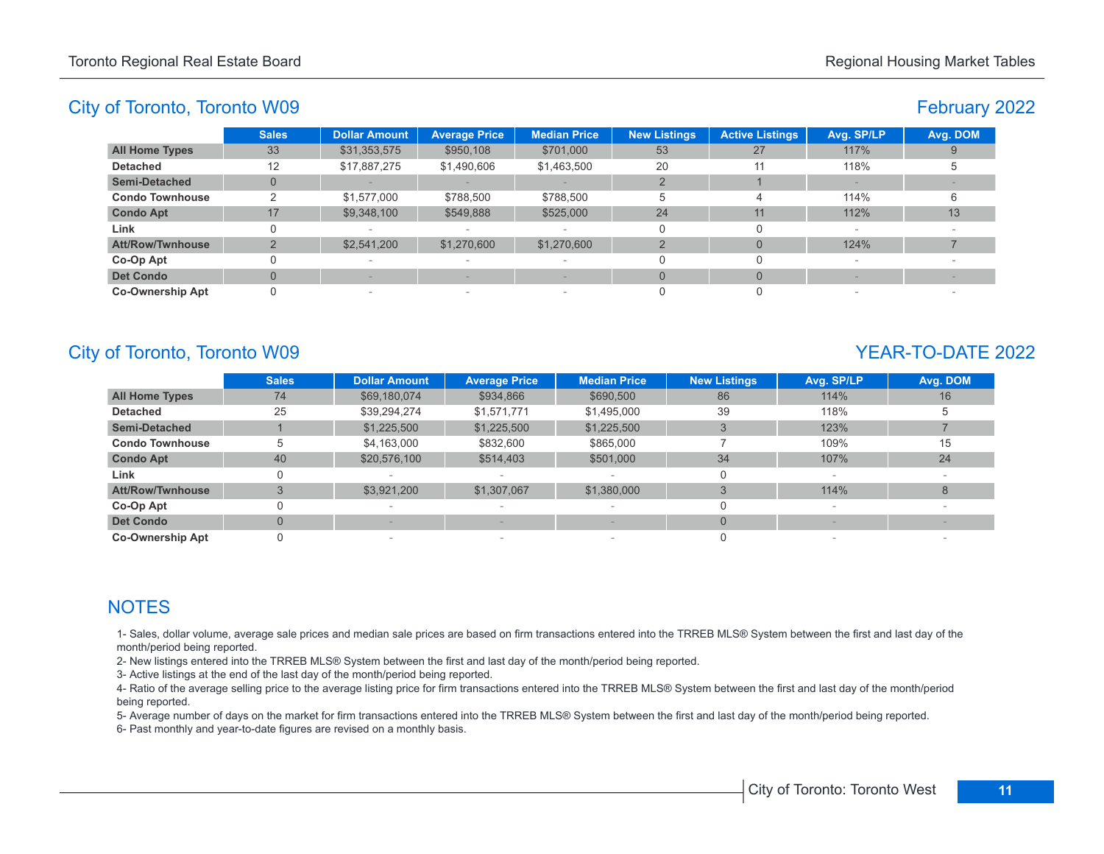# February 2022

|                         | <b>Sales</b> | <b>Dollar Amount</b>     | <b>Average Price</b>     | <b>Median Price</b>      | <b>New Listings</b> | <b>Active Listings</b> | Avg. SP/LP | Avg. DOM |
|-------------------------|--------------|--------------------------|--------------------------|--------------------------|---------------------|------------------------|------------|----------|
| <b>All Home Types</b>   | 33           | \$31,353,575             | \$950,108                | \$701,000                | 53                  | 27                     | 117%       |          |
| <b>Detached</b>         | 12           | \$17,887,275             | \$1,490,606              | \$1,463,500              | 20                  | 11                     | 118%       |          |
| <b>Semi-Detached</b>    | U            |                          |                          |                          |                     |                        |            |          |
| <b>Condo Townhouse</b>  |              | \$1,577,000              | \$788,500                | \$788,500                | -5                  |                        | 114%       |          |
| <b>Condo Apt</b>        | 17           | \$9,348,100              | \$549,888                | \$525,000                | 24                  | 11                     | 112%       | 13       |
| Link                    |              |                          | $\,$                     | $\overline{\phantom{a}}$ |                     |                        |            |          |
| Att/Row/Twnhouse        |              | \$2,541,200              | \$1,270,600              | \$1,270,600              |                     |                        | 124%       |          |
| Co-Op Apt               |              |                          | $\sim$                   | $\sim$                   |                     |                        |            |          |
| <b>Det Condo</b>        |              |                          |                          |                          | $\Omega$            |                        |            |          |
| <b>Co-Ownership Apt</b> |              | $\overline{\phantom{a}}$ | $\overline{\phantom{a}}$ | $\overline{\phantom{a}}$ |                     |                        |            |          |

# City of Toronto, Toronto W09 YEAR-TO-DATE 2022

|                         | <b>Sales</b>   | <b>Dollar Amount</b> | <b>Average Price</b> | <b>Median Price</b> | <b>New Listings</b> | Avg. SP/LP               | Avg. DOM |
|-------------------------|----------------|----------------------|----------------------|---------------------|---------------------|--------------------------|----------|
| <b>All Home Types</b>   | 74             | \$69,180,074         | \$934,866            | \$690,500           | 86                  | 114%                     | 16       |
| <b>Detached</b>         | 25             | \$39,294,274         | \$1,571,771          | \$1,495,000         | 39                  | 118%                     | b        |
| <b>Semi-Detached</b>    |                | \$1,225,500          | \$1,225,500          | \$1,225,500         |                     | 123%                     |          |
| <b>Condo Townhouse</b>  | 5              | \$4,163,000          | \$832,600            | \$865,000           |                     | 109%                     | 15       |
| <b>Condo Apt</b>        | 40             | \$20,576,100         | \$514,403            | \$501,000           | 34                  | 107%                     | 24       |
| Link                    | 0              |                      |                      |                     |                     |                          |          |
| <b>Att/Row/Twnhouse</b> | 3              | \$3,921,200          | \$1,307,067          | \$1,380,000         |                     | 114%                     | 8        |
| Co-Op Apt               | 0              |                      |                      |                     |                     | $\overline{\phantom{a}}$ |          |
| <b>Det Condo</b>        | $\overline{0}$ |                      |                      |                     | $\Omega$            |                          |          |
| <b>Co-Ownership Apt</b> | 0              |                      | $\sim$               |                     |                     |                          |          |

# **NOTES**

1- Sales, dollar volume, average sale prices and median sale prices are based on firm transactions entered into the TRREB MLS® System between the first and last day of the month/period being reported.

2- New listings entered into the TRREB MLS® System between the first and last day of the month/period being reported.

3- Active listings at the end of the last day of the month/period being reported.

4- Ratio of the average selling price to the average listing price for firm transactions entered into the TRREB MLS® System between the first and last day of the month/period being reported.

5- Average number of days on the market for firm transactions entered into the TRREB MLS® System between the first and last day of the month/period being reported.